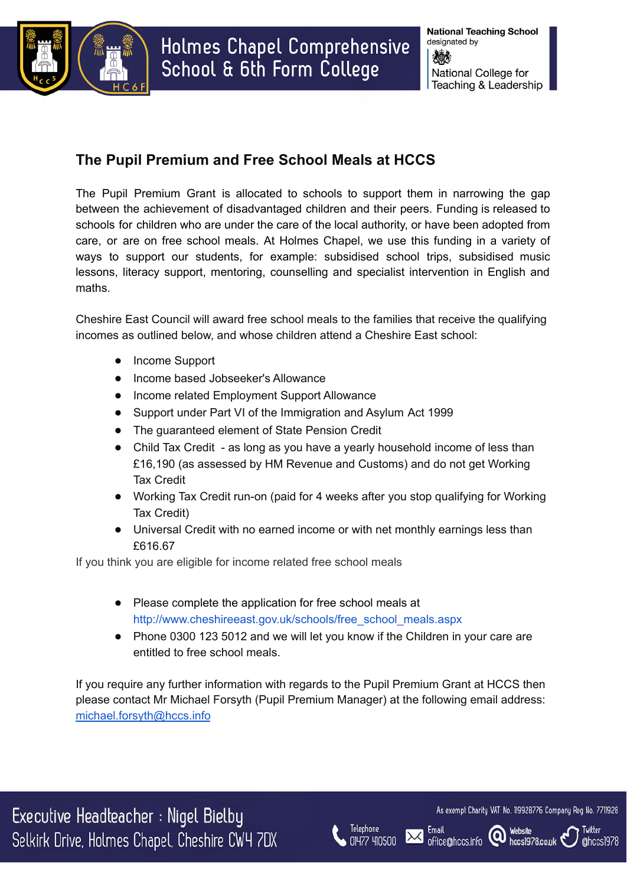

## **The Pupil Premium and Free School Meals at HCCS**

The Pupil Premium Grant is allocated to schools to support them in narrowing the gap between the achievement of disadvantaged children and their peers. Funding is released to schools for children who are under the care of the local authority, or have been adopted from care, or are on free school meals. At Holmes Chapel, we use this funding in a variety of ways to support our students, for example: subsidised school trips, subsidised music lessons, literacy support, mentoring, counselling and specialist intervention in English and maths.

Cheshire East Council will award free school meals to the families that receive the qualifying incomes as outlined below, and whose children attend a Cheshire East school:

- Income Support
- Income based Jobseeker's Allowance
- Income related Employment Support Allowance
- Support under Part VI of the Immigration and Asylum Act 1999
- The guaranteed element of State Pension Credit
- Child Tax Credit as long as you have a yearly household income of less than £16,190 (as assessed by HM Revenue and Customs) and do not get Working Tax Credit
- Working Tax Credit run-on (paid for 4 weeks after you stop qualifying for Working Tax Credit)
- Universal Credit with no earned income or with net monthly earnings less than £616.67

If you think you are eligible for income related free school meals

- Please complete the [application](http://form.cheshireeast.gov.uk/service/Application_for_free_school_meals) for free school meals at [http://www.cheshireeast.gov.uk/schools/free\\_school\\_meals.aspx](http://www.cheshireeast.gov.uk/schools/free_school_meals.aspx)
- Phone 0300 123 5012 and we will let you know if the Children in your care are entitled to free school meals.

If you require any further information with regards to the Pupil Premium Grant at HCCS then please contact Mr Michael Forsyth (Pupil Premium Manager) at the following email address: [michael.forsyth@hccs.info](mailto:matthew.nicolle@hccs.info)

Executive Headteacher : Nigel Bielby Selkirk Drive, Holmes Chapel, Cheshire CW4 7DX



**Fmail** 

office@hccs.info

As exempt Charity VAT No. 119928776 Company Reg No. 7711928



Twitter

@hccs1978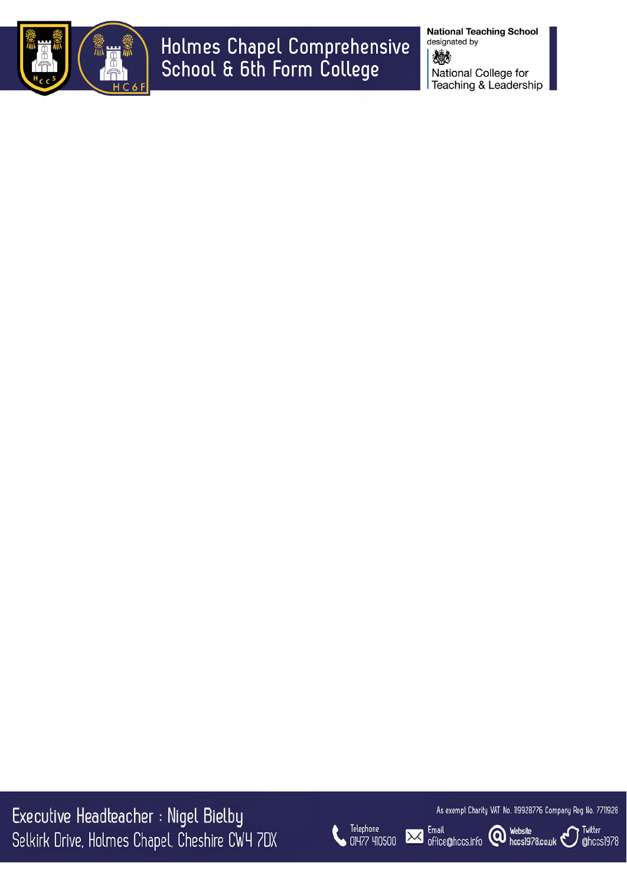

## Holmes Chapel Comprehensive<br>School & 6th Form College

**National Teaching School** designated by 燃 National College for Teaching & Leadership

Executive Headteacher : Nigel Bielby Selkirk Drive, Holmes Chapel, Cheshire CW4 7DX



**Email** 

As exempt Charity VAT No. 119928776 Company Reg No. 7711928

Twitter

@hccs1978